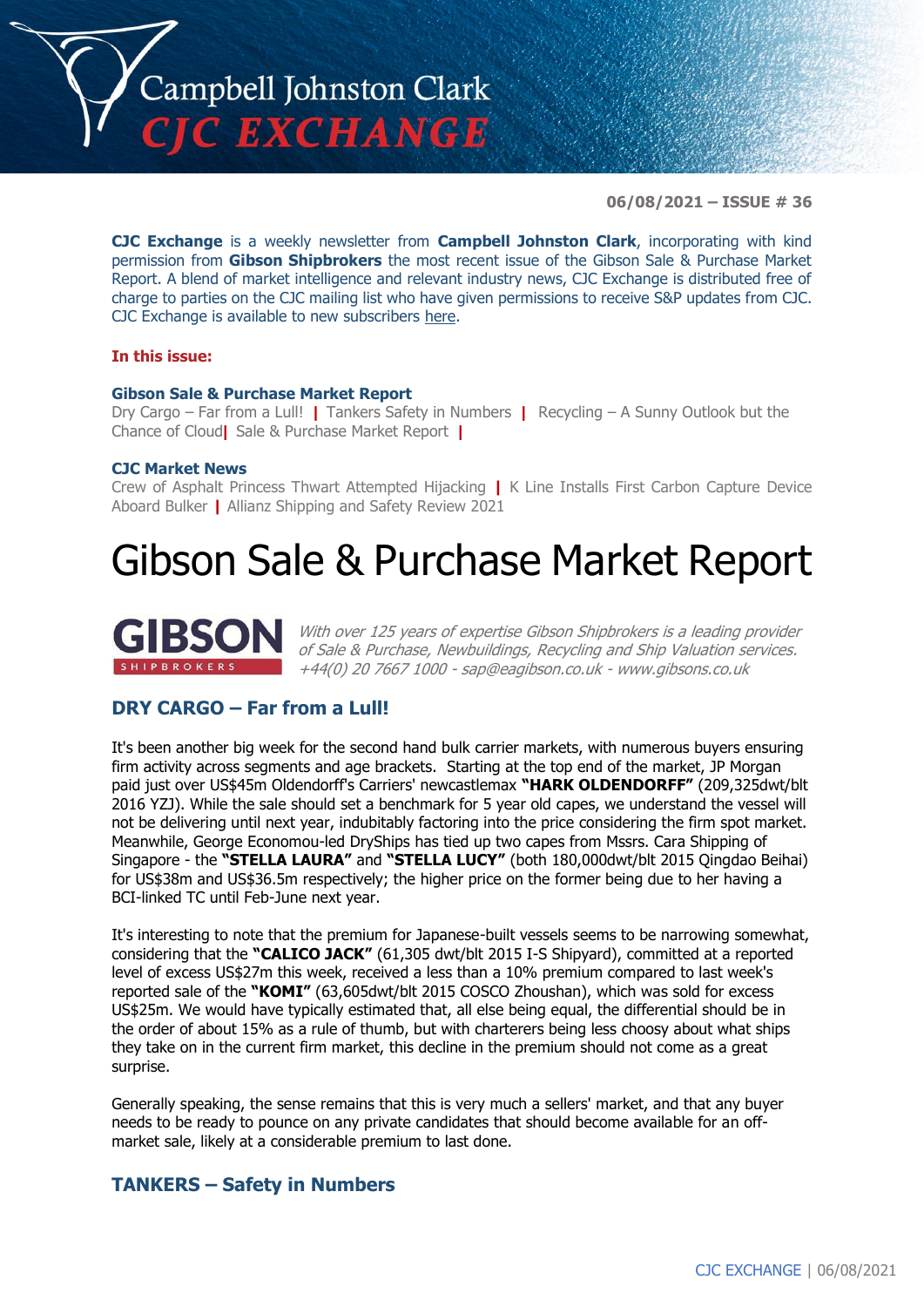

**06/08/2021 – ISSUE # 36**

**CJC Exchange** is a weekly newsletter from **Campbell Johnston Clark**, incorporating with kind permission from **Gibson Shipbrokers** the most recent issue of the Gibson Sale & Purchase Market Report. A blend of market intelligence and relevant industry news, CJC Exchange is distributed free of charge to parties on the CJC mailing list who have given permissions to receive S&P updates from CJC. CJC Exchange is available to new subscribers [here.](mailto:jamesc@cjclaw.com?subject=CJC%20Exchange%20sign-up)

### **In this issue:**

### **Gibson Sale & Purchase Market Report**

Dry Cargo – Far from a Lull! **|** Tankers Safety in Numbers **|** Recycling – A Sunny Outlook but the Chance of Cloud**|** Sale & Purchase Market Report **|**

### **CJC Market News**

Crew of Asphalt Princess Thwart Attempted Hijacking **|** K Line Installs First Carbon Capture Device Aboard Bulker **|** Allianz Shipping and Safety Review 2021

# Gibson Sale & Purchase Market Report



With over 125 years of expertise Gibson Shipbrokers is a leading provider of Sale & Purchase, Newbuildings, Recycling and Ship Valuation services. +44(0) 20 7667 1000 - [sap@eagibson.co.uk](mailto:sap@eagibson.co.uk) - [www.gibsons.co.uk](https://protect-eu.mimecast.com/s/VO6nCGZzRS60KqcK1jQh/)

# **DRY CARGO – Far from a Lull!**

It's been another big week for the second hand bulk carrier markets, with numerous buyers ensuring firm activity across segments and age brackets. Starting at the top end of the market, JP Morgan paid just over US\$45m Oldendorff's Carriers' newcastlemax **"HARK OLDENDORFF"** (209,325dwt/blt 2016 YZJ). While the sale should set a benchmark for 5 year old capes, we understand the vessel will not be delivering until next year, indubitably factoring into the price considering the firm spot market. Meanwhile, George Economou-led DryShips has tied up two capes from Mssrs. Cara Shipping of Singapore - the **"STELLA LAURA"** and **"STELLA LUCY"** (both 180,000dwt/blt 2015 Qingdao Beihai) for US\$38m and US\$36.5m respectively; the higher price on the former being due to her having a BCI-linked TC until Feb-June next year.

It's interesting to note that the premium for Japanese-built vessels seems to be narrowing somewhat, considering that the **"CALICO JACK"** (61,305 dwt/blt 2015 I-S Shipyard), committed at a reported level of excess US\$27m this week, received a less than a 10% premium compared to last week's reported sale of the **"KOMI"** (63,605dwt/blt 2015 COSCO Zhoushan), which was sold for excess US\$25m. We would have typically estimated that, all else being equal, the differential should be in the order of about 15% as a rule of thumb, but with charterers being less choosy about what ships they take on in the current firm market, this decline in the premium should not come as a great surprise.

Generally speaking, the sense remains that this is very much a sellers' market, and that any buyer needs to be ready to pounce on any private candidates that should become available for an offmarket sale, likely at a considerable premium to last done.

# **TANKERS – Safety in Numbers**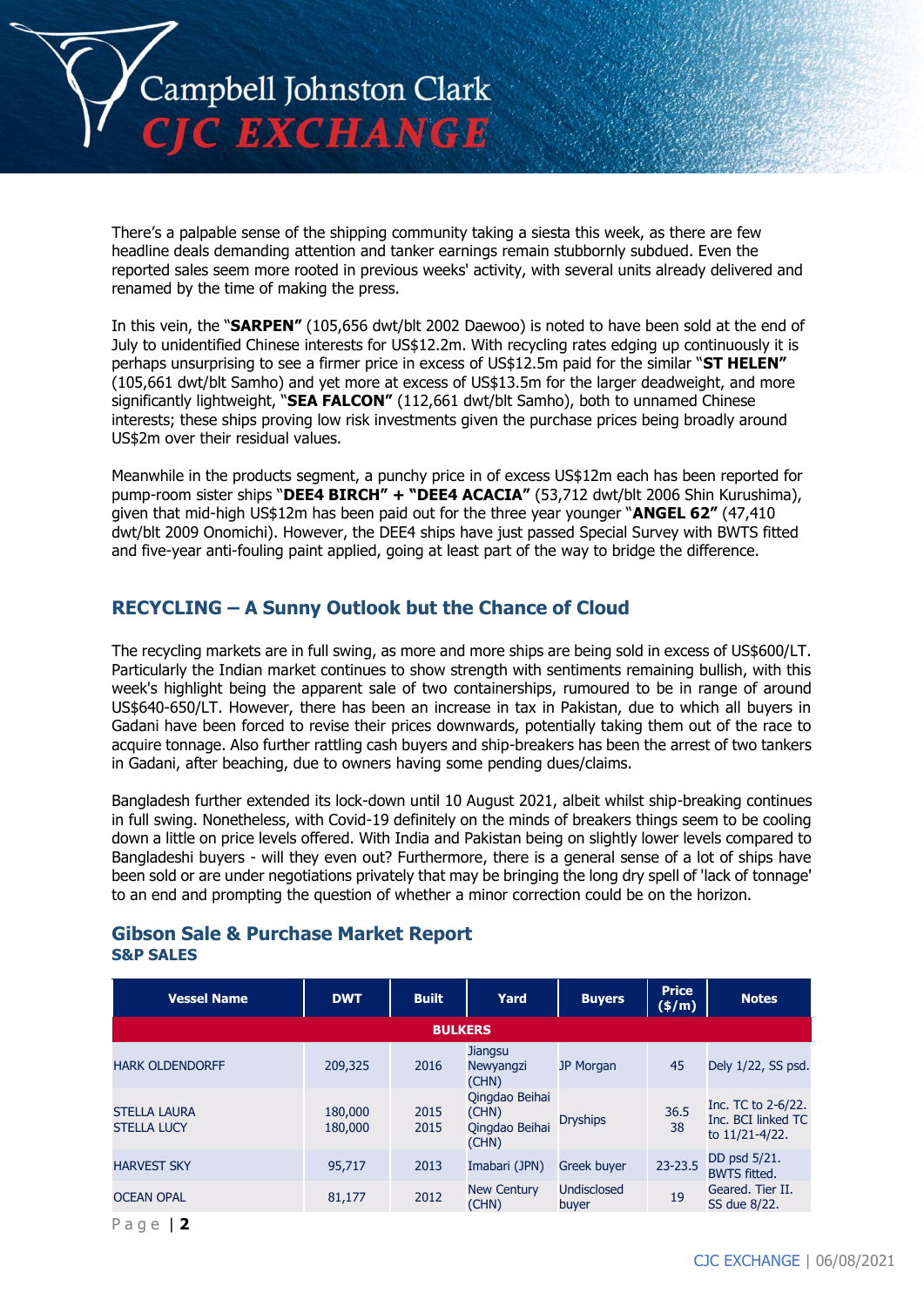

There's a palpable sense of the shipping community taking a siesta this week, as there are few headline deals demanding attention and tanker earnings remain stubbornly subdued. Even the reported sales seem more rooted in previous weeks' activity, with several units already delivered and renamed by the time of making the press.

In this vein, the "**SARPEN"** (105,656 dwt/blt 2002 Daewoo) is noted to have been sold at the end of July to unidentified Chinese interests for US\$12.2m. With recycling rates edging up continuously it is perhaps unsurprising to see a firmer price in excess of US\$12.5m paid for the similar "**ST HELEN"** (105,661 dwt/blt Samho) and yet more at excess of US\$13.5m for the larger deadweight, and more significantly lightweight, "**SEA FALCON"** (112,661 dwt/blt Samho), both to unnamed Chinese interests; these ships proving low risk investments given the purchase prices being broadly around US\$2m over their residual values.

Meanwhile in the products segment, a punchy price in of excess US\$12m each has been reported for pump-room sister ships "**DEE4 BIRCH" + "DEE4 ACACIA"** (53,712 dwt/blt 2006 Shin Kurushima), given that mid-high US\$12m has been paid out for the three year younger "**ANGEL 62"** (47,410 dwt/blt 2009 Onomichi). However, the DEE4 ships have just passed Special Survey with BWTS fitted and five-year anti-fouling paint applied, going at least part of the way to bridge the difference.

# **RECYCLING – A Sunny Outlook but the Chance of Cloud**

The recycling markets are in full swing, as more and more ships are being sold in excess of US\$600/LT. Particularly the Indian market continues to show strength with sentiments remaining bullish, with this week's highlight being the apparent sale of two containerships, rumoured to be in range of around US\$640-650/LT. However, there has been an increase in tax in Pakistan, due to which all buyers in Gadani have been forced to revise their prices downwards, potentially taking them out of the race to acquire tonnage. Also further rattling cash buyers and ship-breakers has been the arrest of two tankers in Gadani, after beaching, due to owners having some pending dues/claims.

Bangladesh further extended its lock-down until 10 August 2021, albeit whilst ship-breaking continues in full swing. Nonetheless, with Covid-19 definitely on the minds of breakers things seem to be cooling down a little on price levels offered. With India and Pakistan being on slightly lower levels compared to Bangladeshi buyers - will they even out? Furthermore, there is a general sense of a lot of ships have been sold or are under negotiations privately that may be bringing the long dry spell of 'lack of tonnage' to an end and prompting the question of whether a minor correction could be on the horizon.

### **Gibson Sale & Purchase Market Report S&P SALES**

| <b>Vessel Name</b>                        | <b>DWT</b>         | <b>Built</b>   | Yard                                               | <b>Buyers</b>               | <b>Price</b><br>$(\frac{\epsilon}{m})$ | <b>Notes</b>                                               |
|-------------------------------------------|--------------------|----------------|----------------------------------------------------|-----------------------------|----------------------------------------|------------------------------------------------------------|
|                                           |                    | <b>BULKERS</b> |                                                    |                             |                                        |                                                            |
| <b>HARK OLDENDORFF</b>                    | 209,325            | 2016           | <b>Jiangsu</b><br>Newyangzi<br>(CHN)               | <b>JP Morgan</b>            | 45                                     | Dely 1/22, SS psd.                                         |
| <b>STELLA LAURA</b><br><b>STELLA LUCY</b> | 180,000<br>180,000 | 2015<br>2015   | Qingdao Beihai<br>(CHN)<br>Oingdao Beihai<br>(CHN) | <b>Dryships</b>             | 36.5<br>38                             | Inc. TC to 2-6/22.<br>Inc. BCI linked TC<br>to 11/21-4/22. |
| <b>HARVEST SKY</b>                        | 95,717             | 2013           | Imabari (JPN)                                      | <b>Greek buyer</b>          | 23-23.5                                | DD psd 5/21.<br><b>BWTS fitted.</b>                        |
| <b>OCEAN OPAL</b>                         | 81,177             | 2012           | <b>New Century</b><br>(CHN)                        | <b>Undisclosed</b><br>buyer | 19                                     | Geared. Tier II.<br>SS due 8/22.                           |
|                                           |                    |                |                                                    |                             |                                        |                                                            |

P a g e | **2**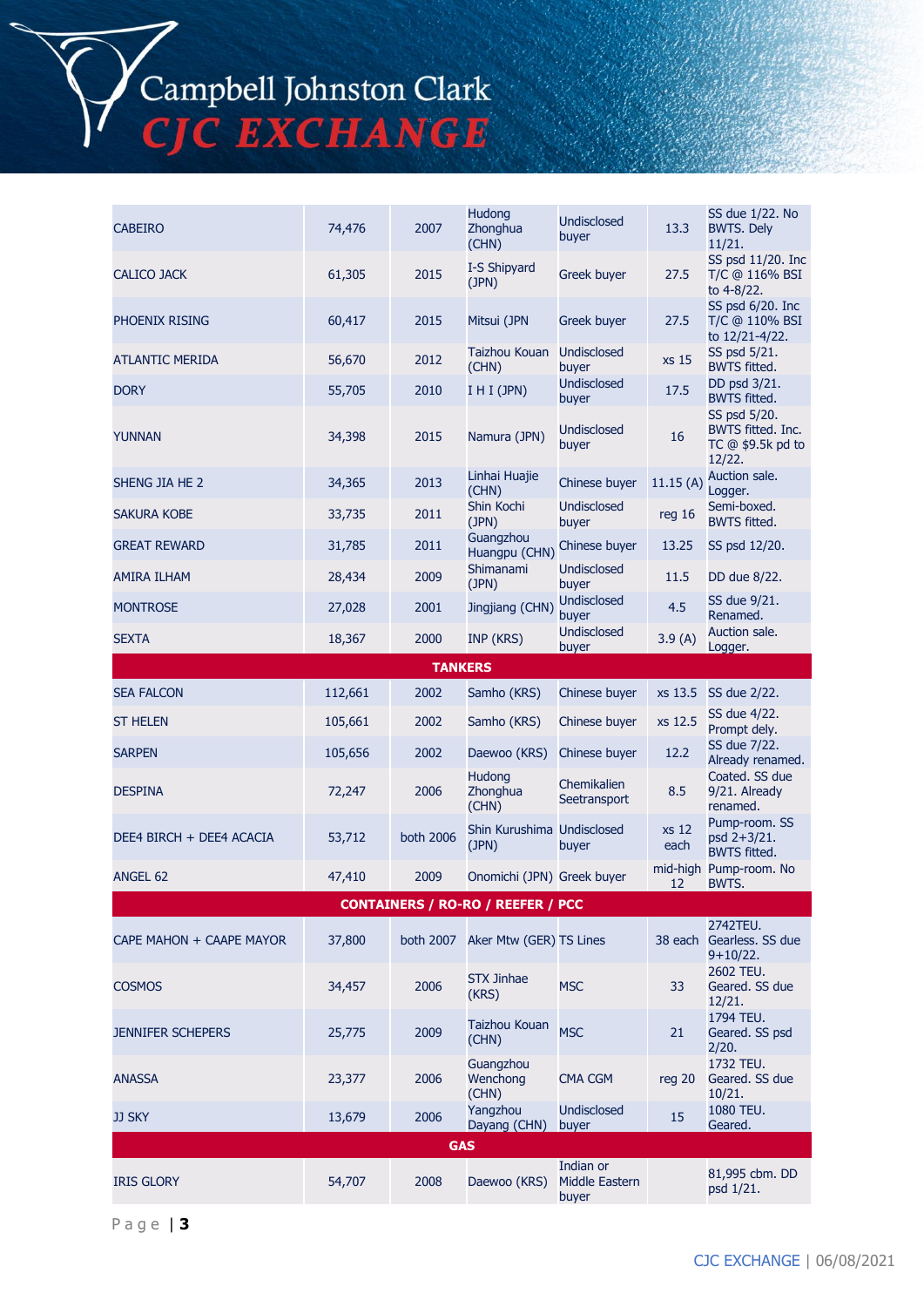# Campbell Johnston Clark<br>CJC EXCHANGE

| <b>CABEIRO</b>           | 74,476  | 2007           | <b>Hudong</b><br>Zhonghua<br>(CHN)       | <b>Undisclosed</b><br>buyer                 | 13.3          | SS due 1/22. No<br><b>BWTS. Dely</b><br>11/21.                               |
|--------------------------|---------|----------------|------------------------------------------|---------------------------------------------|---------------|------------------------------------------------------------------------------|
| CALICO JACK              | 61,305  | 2015           | I-S Shipyard<br>(JPN)                    | Greek buyer                                 | 27.5          | SS psd 11/20. Inc<br>T/C @ 116% BSI<br>to 4-8/22.                            |
| PHOENIX RISING           | 60,417  | 2015           | Mitsui (JPN                              | <b>Greek buyer</b>                          | 27.5          | SS psd 6/20. Inc<br>T/C @ 110% BSI<br>to 12/21-4/22.                         |
| <b>ATLANTIC MERIDA</b>   | 56,670  | 2012           | Taizhou Kouan<br>(CHN)                   | <b>Undisclosed</b><br>buyer                 | xs 15         | SS psd 5/21.<br><b>BWTS fitted.</b>                                          |
| <b>DORY</b>              | 55,705  | 2010           | I H I (JPN)                              | Undisclosed<br>buyer                        | 17.5          | DD psd 3/21.<br><b>BWTS fitted.</b>                                          |
| <b>YUNNAN</b>            | 34,398  | 2015           | Namura (JPN)                             | Undisclosed<br>buyer                        | 16            | SS psd 5/20.<br><b>BWTS fitted. Inc.</b><br>$TC$ @ \$9.5 $k$ pd to<br>12/22. |
| SHENG JIA HE 2           | 34,365  | 2013           | Linhai Huajie<br>(CHN)                   | Chinese buyer                               | 11.15(A)      | Auction sale.<br>Logger.                                                     |
| <b>SAKURA KOBE</b>       | 33,735  | 2011           | Shin Kochi<br>(JPN)                      | <b>Undisclosed</b><br>buyer                 | reg 16        | Semi-boxed.<br><b>BWTS fitted.</b>                                           |
| <b>GREAT REWARD</b>      | 31,785  | 2011           | Guangzhou<br>Huangpu (CHN)               | Chinese buyer                               | 13.25         | SS psd 12/20.                                                                |
| <b>AMIRA ILHAM</b>       | 28,434  | 2009           | Shimanami<br>(JPN)                       | <b>Undisclosed</b><br>buyer                 | 11.5          | DD due 8/22.                                                                 |
| <b>MONTROSE</b>          | 27,028  | 2001           | Jingjiang (CHN)                          | <b>Undisclosed</b><br>buyer                 | 4.5           | SS due 9/21.<br>Renamed.                                                     |
| <b>SEXTA</b>             | 18,367  | 2000           | INP (KRS)                                | <b>Undisclosed</b><br>buyer                 | 3.9(A)        | Auction sale.<br>Logger.                                                     |
|                          |         | <b>TANKERS</b> |                                          |                                             |               |                                                                              |
| <b>SEA FALCON</b>        | 112,661 | 2002           | Samho (KRS)                              | Chinese buyer                               | xs 13.5       | SS due 2/22.                                                                 |
| <b>ST HELEN</b>          | 105,661 | 2002           | Samho (KRS)                              | Chinese buyer                               | xs 12.5       | SS due 4/22.<br>Prompt dely.                                                 |
| <b>SARPEN</b>            | 105,656 | 2002           | Daewoo (KRS)                             | Chinese buyer                               | 12.2          | SS due 7/22.<br>Already renamed.                                             |
| <b>DESPINA</b>           | 72,247  | 2006           | <b>Hudong</b><br>Zhonghua<br>(CHN)       | Chemikalien<br>Seetransport                 | 8.5           | Coated. SS due<br>9/21. Already<br>renamed.                                  |
| DEE4 BIRCH + DEE4 ACACIA | 53,712  | both 2006      | Shin Kurushima Undisclosed<br>(JPN)      | buyer                                       | xs 12<br>each | Pump-room. SS<br>psd 2+3/21.<br><b>BWTS fitted.</b>                          |
| ANGEL 62                 | 47,410  | 2009           | Onomichi (JPN) Greek buyer               |                                             | 12            | mid-high Pump-room. No<br>BWTS.                                              |
|                          |         |                | <b>CONTAINERS / RO-RO / REEFER / PCC</b> |                                             |               |                                                                              |
| CAPE MAHON + CAAPE MAYOR | 37,800  | both 2007      | Aker Mtw (GER) TS Lines                  |                                             |               | 2742TEU.<br>38 each Gearless. SS due<br>$9+10/22.$                           |
| <b>COSMOS</b>            | 34,457  | 2006           | <b>STX Jinhae</b><br>(KRS)               | <b>MSC</b>                                  | 33            | 2602 TEU.<br>Geared. SS due<br>12/21.                                        |
| <b>JENNIFER SCHEPERS</b> | 25,775  | 2009           | Taizhou Kouan<br>(CHN)                   | <b>MSC</b>                                  | 21            | 1794 TEU.<br>Geared. SS psd<br>2/20.                                         |
| <b>ANASSA</b>            | 23,377  | 2006           | Guangzhou<br>Wenchong<br>(CHN)           | CMA CGM                                     | reg $20$      | 1732 TEU.<br>Geared. SS due<br>10/21.                                        |
| <b>JJ SKY</b>            | 13,679  | 2006           | Yangzhou<br>Dayang (CHN)                 | <b>Undisclosed</b><br>buyer                 | 15            | 1080 TEU.<br>Geared.                                                         |
| <b>GAS</b>               |         |                |                                          |                                             |               |                                                                              |
| <b>IRIS GLORY</b>        | 54,707  | 2008           | Daewoo (KRS)                             | Indian or<br><b>Middle Eastern</b><br>buyer |               | 81,995 cbm. DD<br>psd 1/21.                                                  |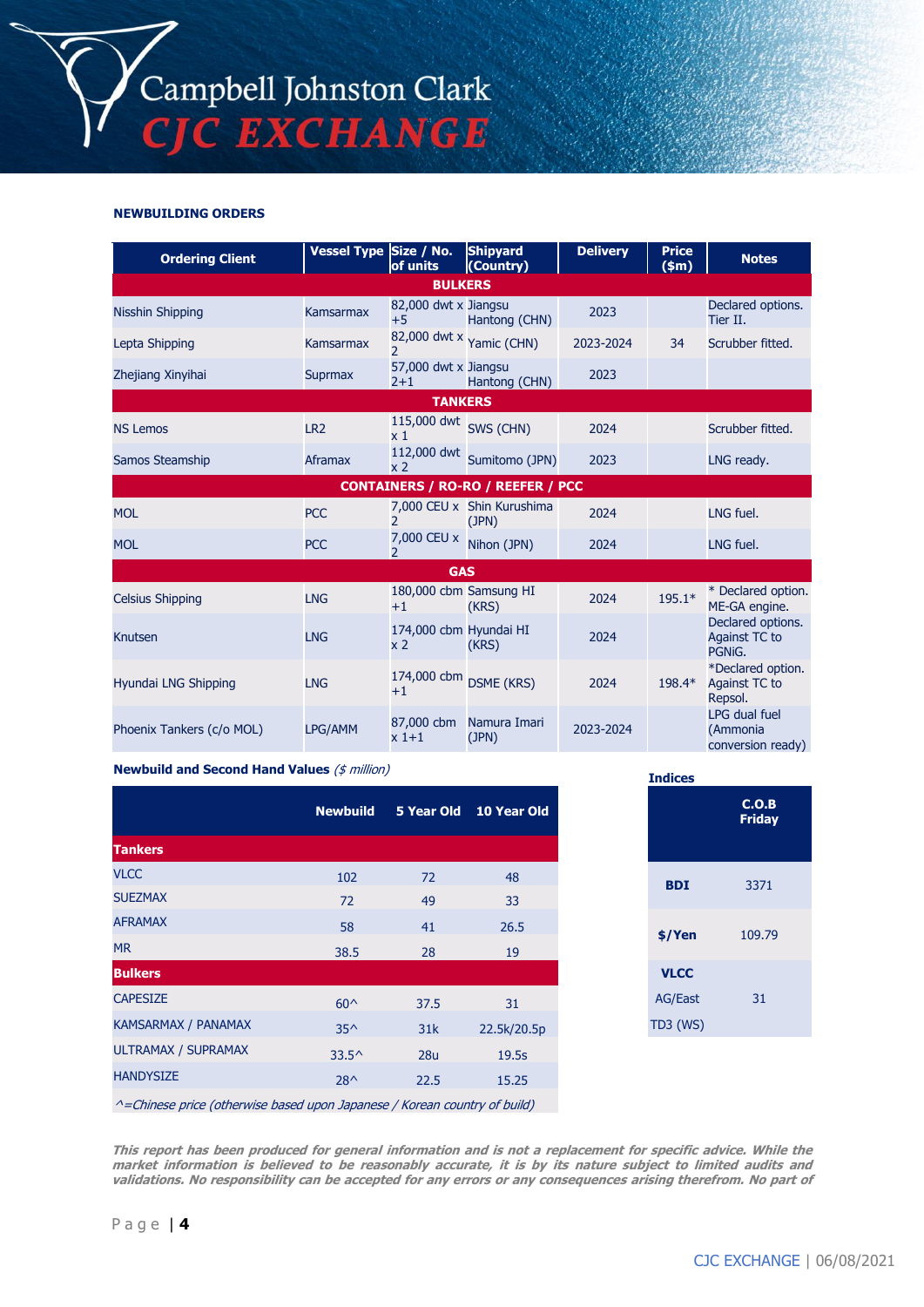### **NEWBUILDING ORDERS**

| <b>Ordering Client</b>                   | Vessel Type Size / No. | of units                                 | <b>Shipyard</b><br>(Country)        | <b>Delivery</b> | <b>Price</b><br>$(\text{5m})$ | <b>Notes</b>                                   |  |
|------------------------------------------|------------------------|------------------------------------------|-------------------------------------|-----------------|-------------------------------|------------------------------------------------|--|
|                                          |                        | <b>BULKERS</b>                           |                                     |                 |                               |                                                |  |
| Nisshin Shipping                         | <b>Kamsarmax</b>       | 82,000 dwt x Jiangsu<br>$+5$             | Hantong (CHN)                       | 2023            |                               | Declared options.<br>Tier II.                  |  |
| Lepta Shipping                           | Kamsarmax              | $\mathcal{P}$                            | 82,000 dwt x Yamic (CHN)            | 2023-2024       | 34                            | Scrubber fitted.                               |  |
| Zhejiang Xinyihai                        | <b>Suprmax</b>         | 57,000 dwt x Jiangsu<br>$2 + 1$          | Hantong (CHN)                       | 2023            |                               |                                                |  |
| <b>TANKERS</b>                           |                        |                                          |                                     |                 |                               |                                                |  |
| <b>NS Lemos</b>                          | LR <sub>2</sub>        | 115,000 dwt SWS (CHN)<br>x <sub>1</sub>  |                                     | 2024            |                               | Scrubber fitted.                               |  |
| Samos Steamship                          | Aframax                | 112,000 dwt<br>x <sub>2</sub>            | Sumitomo (JPN)                      | 2023            |                               | LNG ready.                                     |  |
| <b>CONTAINERS / RO-RO / REEFER / PCC</b> |                        |                                          |                                     |                 |                               |                                                |  |
| <b>MOL</b>                               | <b>PCC</b>             | $\mathcal{P}$                            | 7,000 CEU x Shin Kurushima<br>(JPN) | 2024            |                               | LNG fuel.                                      |  |
| <b>MOL</b>                               | <b>PCC</b>             | 7,000 CEU x<br>$\overline{\phantom{a}}$  | Nihon (JPN)                         | 2024            |                               | LNG fuel.                                      |  |
| <b>GAS</b>                               |                        |                                          |                                     |                 |                               |                                                |  |
| <b>Celsius Shipping</b>                  | <b>LNG</b>             | 180,000 cbm Samsung HI<br>$+1$           | (KRS)                               | 2024            | $195.1*$                      | * Declared option.<br>ME-GA engine.            |  |
| Knutsen                                  | <b>LNG</b>             | 174,000 cbm Hyundai HI<br>x <sub>2</sub> | (KRS)                               | 2024            |                               | Declared options.<br>Against TC to<br>PGNIG.   |  |
| Hyundai LNG Shipping                     | <b>LNG</b>             | 174,000 cbm DSME (KRS)<br>$+1$           |                                     | 2024            | 198.4*                        | *Declared option.<br>Against TC to<br>Repsol.  |  |
| Phoenix Tankers (c/o MOL)                | LPG/AMM                | 87,000 cbm<br>$x1+1$                     | Namura Imari<br>(JPN)               | 2023-2024       |                               | LPG dual fuel<br>(Ammonia<br>conversion ready) |  |

#### **Newbuild and Second Hand Values** (\$ million)

|                                                                                  | <b>Newbuild</b> |                 | 5 Year Old 10 Year Old |
|----------------------------------------------------------------------------------|-----------------|-----------------|------------------------|
| <b>Tankers</b>                                                                   |                 |                 |                        |
| <b>VLCC</b>                                                                      | 102             | 72              | 48                     |
| <b>SUEZMAX</b>                                                                   | 72              | 49              | 33                     |
| <b>AFRAMAX</b>                                                                   | 58              | 41              | 26.5                   |
| <b>MR</b>                                                                        | 38.5            | 28              | 19                     |
| <b>Bulkers</b>                                                                   |                 |                 |                        |
| <b>CAPESIZE</b>                                                                  | $60^{\circ}$    | 37.5            | 31                     |
| <b>KAMSARMAX / PANAMAX</b>                                                       | $35^{\wedge}$   | 31k             | 22.5k/20.5p            |
| <b>ULTRAMAX / SUPRAMAX</b>                                                       | $33.5^{\circ}$  | 28 <sub>u</sub> | 19.5s                  |
| <b>HANDYSIZE</b>                                                                 | $28^$           | 22.5            | 15.25                  |
| $\land$ -Chinece price (otherwise based upon Jananese / Korean country of build) |                 |                 |                        |

| <b>Indices</b> |                        |
|----------------|------------------------|
|                | C.O.B<br><b>Friday</b> |
| <b>BDI</b>     | 3371                   |
| \$/Yen         | 109.79                 |
| <b>VLCC</b>    |                        |
| <b>AG/East</b> | 31                     |
| TD3 (WS)       |                        |

^=Chinese price (otherwise based upon Japanese / Korean country of build)

**This report has been produced for general information and is not a replacement for specific advice. While the market information is believed to be reasonably accurate, it is by its nature subject to limited audits and validations. No responsibility can be accepted for any errors or any consequences arising therefrom. No part of**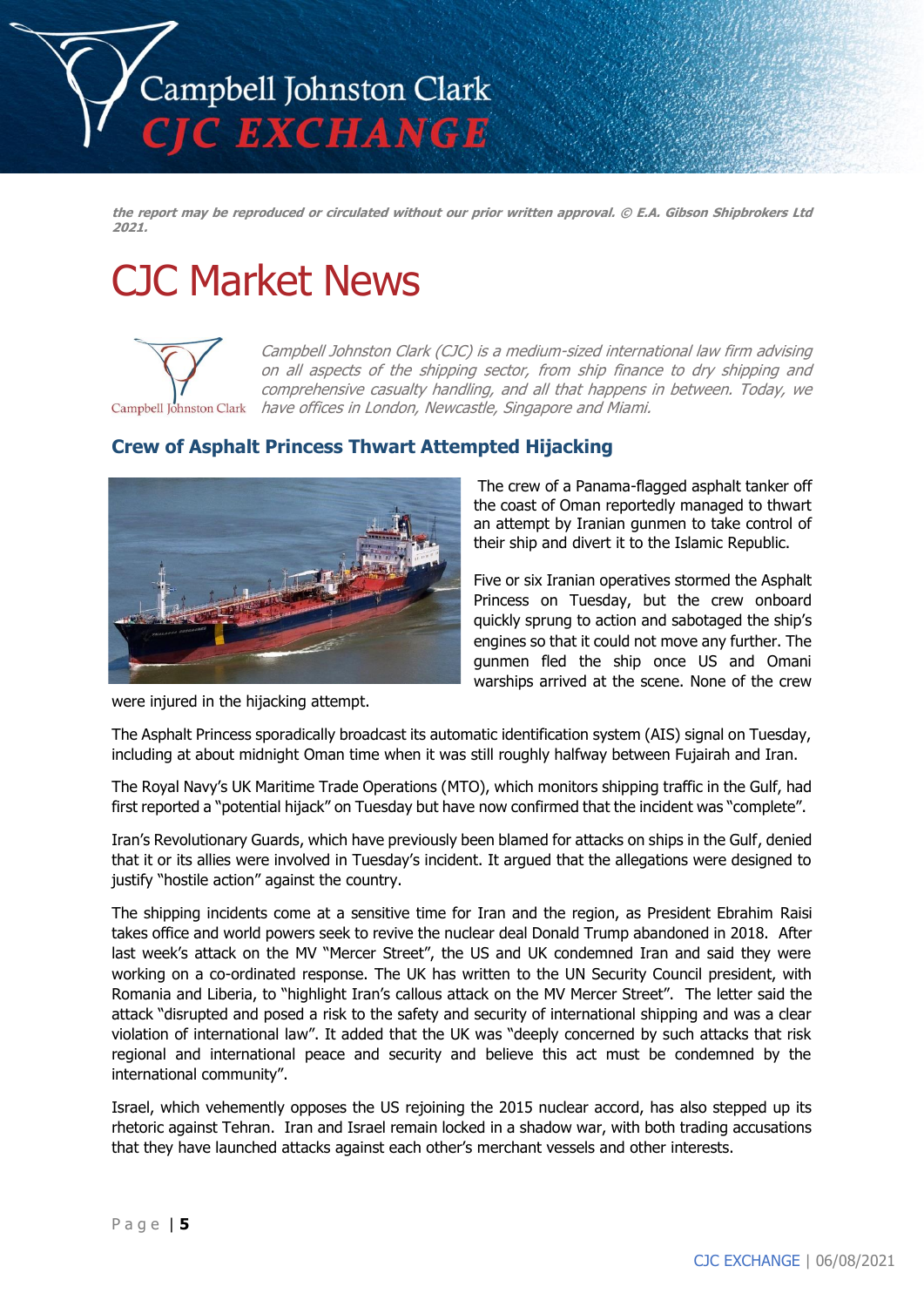

**the report may be reproduced or circulated without our prior written approval. © E.A. Gibson Shipbrokers Ltd 2021.**

# CJC Market News



Campbell Johnston Clark (CJC) is a medium-sized international law firm advising on all aspects of the shipping sector, from ship finance to dry shipping and comprehensive casualty handling, and all that happens in between. Today, we Campbell Johnston Clark have offices in London, Newcastle, Singapore and Miami.

# **Crew of Asphalt Princess Thwart Attempted Hijacking**



The crew of a Panama-flagged asphalt tanker off the coast of Oman reportedly managed to thwart an attempt by Iranian gunmen to take control of their ship and divert it to the Islamic Republic.

Five or six Iranian operatives stormed the Asphalt Princess on Tuesday, but the crew onboard quickly sprung to action and sabotaged the ship's engines so that it could not move any further. The gunmen fled the ship once US and Omani warships arrived at the scene. None of the crew

were injured in the hijacking attempt.

The Asphalt Princess sporadically broadcast its automatic identification system (AIS) signal on Tuesday, including at about midnight Oman time when it was still roughly halfway between Fujairah and Iran.

The Royal Navy's UK Maritime Trade Operations (MTO), which monitors shipping traffic in the Gulf, had first reported a "potential hijack" on Tuesday but have now confirmed that the incident was "complete".

Iran's Revolutionary Guards, which have previously been blamed for attacks on ships in the Gulf, denied that it or its allies were involved in Tuesday's incident. It argued that the allegations were designed to justify "hostile action" against the country.

The shipping incidents come at a sensitive time for Iran and the region, as President Ebrahim Raisi takes office and world powers seek to revive the nuclear deal Donald Trump abandoned in 2018. After last week's attack on the MV "Mercer Street", the US and UK condemned Iran and said they were working on a co-ordinated response. The UK has written to the UN Security Council president, with Romania and Liberia, to "highlight Iran's callous attack on the MV Mercer Street". The letter said the attack "disrupted and posed a risk to the safety and security of international shipping and was a clear violation of international law". It added that the UK was "deeply concerned by such attacks that risk regional and international peace and security and believe this act must be condemned by the international community".

Israel, which vehemently opposes the US rejoining the 2015 nuclear accord, has also stepped up its rhetoric against Tehran. Iran and Israel remain locked in a shadow war, with both trading accusations that they have launched attacks against each other's merchant vessels and other interests.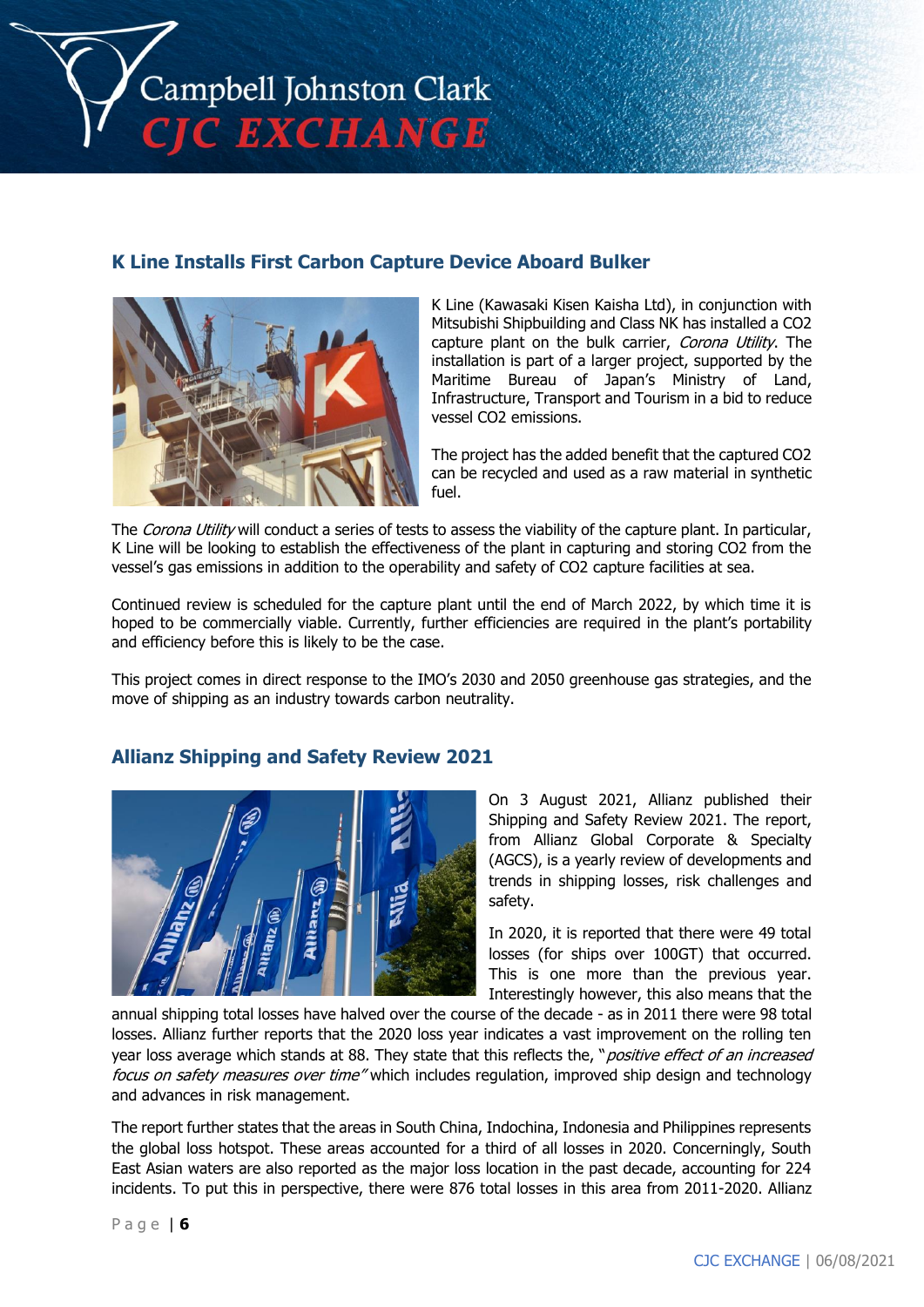

# **K Line Installs First Carbon Capture Device Aboard Bulker**



K Line (Kawasaki Kisen Kaisha Ltd), in conjunction with Mitsubishi Shipbuilding and Class NK has installed a CO2 capture plant on the bulk carrier, Corona Utility. The installation is part of a larger project, supported by the Maritime Bureau of Japan's Ministry of Land, Infrastructure, Transport and Tourism in a bid to reduce vessel CO2 emissions.

The project has the added benefit that the captured CO2 can be recycled and used as a raw material in synthetic fuel.

The Corona Utility will conduct a series of tests to assess the viability of the capture plant. In particular, K Line will be looking to establish the effectiveness of the plant in capturing and storing CO2 from the vessel's gas emissions in addition to the operability and safety of CO2 capture facilities at sea.

Continued review is scheduled for the capture plant until the end of March 2022, by which time it is hoped to be commercially viable. Currently, further efficiencies are required in the plant's portability and efficiency before this is likely to be the case.

This project comes in direct response to the IMO's 2030 and 2050 greenhouse gas strategies, and the move of shipping as an industry towards carbon neutrality.

# **Allianz Shipping and Safety Review 2021**



On 3 August 2021, Allianz published their Shipping and Safety Review 2021. The report, from Allianz Global Corporate & Specialty (AGCS), is a yearly review of developments and trends in shipping losses, risk challenges and safety.

In 2020, it is reported that there were 49 total losses (for ships over 100GT) that occurred. This is one more than the previous year. Interestingly however, this also means that the

annual shipping total losses have halved over the course of the decade - as in 2011 there were 98 total losses. Allianz further reports that the 2020 loss year indicates a vast improvement on the rolling ten year loss average which stands at 88. They state that this reflects the, "positive effect of an increased focus on safety measures over time" which includes regulation, improved ship design and technology and advances in risk management.

The report further states that the areas in South China, Indochina, Indonesia and Philippines represents the global loss hotspot. These areas accounted for a third of all losses in 2020. Concerningly, South East Asian waters are also reported as the major loss location in the past decade, accounting for 224 incidents. To put this in perspective, there were 876 total losses in this area from 2011-2020. Allianz